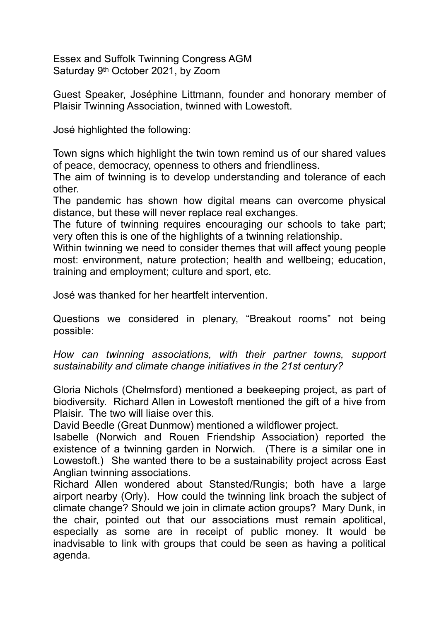Essex and Suffolk Twinning Congress AGM Saturday 9th October 2021, by Zoom

Guest Speaker, Joséphine Littmann, founder and honorary member of Plaisir Twinning Association, twinned with Lowestoft.

José highlighted the following:

Town signs which highlight the twin town remind us of our shared values of peace, democracy, openness to others and friendliness.

The aim of twinning is to develop understanding and tolerance of each other.

The pandemic has shown how digital means can overcome physical distance, but these will never replace real exchanges.

The future of twinning requires encouraging our schools to take part; very often this is one of the highlights of a twinning relationship.

Within twinning we need to consider themes that will affect young people most: environment, nature protection; health and wellbeing; education, training and employment; culture and sport, etc.

José was thanked for her heartfelt intervention.

Questions we considered in plenary, "Breakout rooms" not being possible:

*How can twinning associations, with their partner towns, support sustainability and climate change initiatives in the 21st century?*

Gloria Nichols (Chelmsford) mentioned a beekeeping project, as part of biodiversity. Richard Allen in Lowestoft mentioned the gift of a hive from Plaisir. The two will liaise over this.

David Beedle (Great Dunmow) mentioned a wildflower project.

Isabelle (Norwich and Rouen Friendship Association) reported the existence of a twinning garden in Norwich. (There is a similar one in Lowestoft.) She wanted there to be a sustainability project across East Anglian twinning associations.

Richard Allen wondered about Stansted/Rungis; both have a large airport nearby (Orly). How could the twinning link broach the subject of climate change? Should we join in climate action groups? Mary Dunk, in the chair, pointed out that our associations must remain apolitical, especially as some are in receipt of public money. It would be inadvisable to link with groups that could be seen as having a political agenda.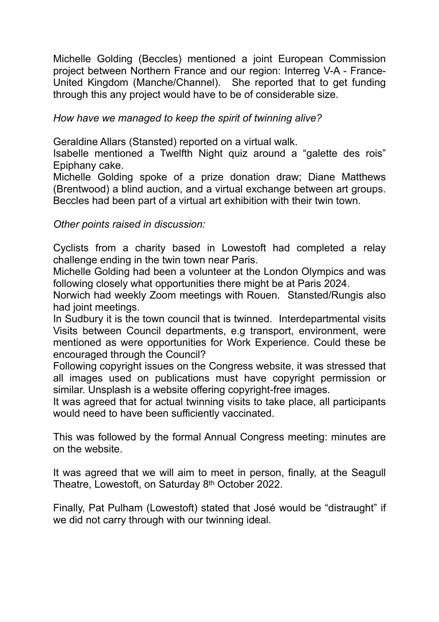Michelle Golding (Beccles) mentioned a joint European Commission project between Northern France and our region: Interreg V-A - France-United Kingdom (Manche/Channel). She reported that to get funding through this any project would have to be of considerable size.

## *How have we managed to keep the spirit of twinning alive?*

Geraldine Allars (Stansted) reported on a virtual walk.

Isabelle mentioned a Twelfth Night quiz around a "galette des rois" Epiphany cake.

Michelle Golding spoke of a prize donation draw; Diane Matthews (Brentwood) a blind auction, and a virtual exchange between art groups. Beccles had been part of a virtual art exhibition with their twin town.

*Other points raised in discussion:*

Cyclists from a charity based in Lowestoft had completed a relay challenge ending in the twin town near Paris.

Michelle Golding had been a volunteer at the London Olympics and was following closely what opportunities there might be at Paris 2024.

Norwich had weekly Zoom meetings with Rouen. Stansted/Rungis also had joint meetings.

In Sudbury it is the town council that is twinned. Interdepartmental visits Visits between Council departments, e.g transport, environment, were mentioned as were opportunities for Work Experience. Could these be encouraged through the Council?

Following copyright issues on the Congress website, it was stressed that all images used on publications must have copyright permission or similar. Unsplash is a website offering copyright-free images.

It was agreed that for actual twinning visits to take place, all participants would need to have been sufficiently vaccinated.

This was followed by the formal Annual Congress meeting: minutes are on the website.

It was agreed that we will aim to meet in person, finally, at the Seagull Theatre, Lowestoft, on Saturday 8th October 2022.

Finally, Pat Pulham (Lowestoft) stated that José would be "distraught" if we did not carry through with our twinning ideal.